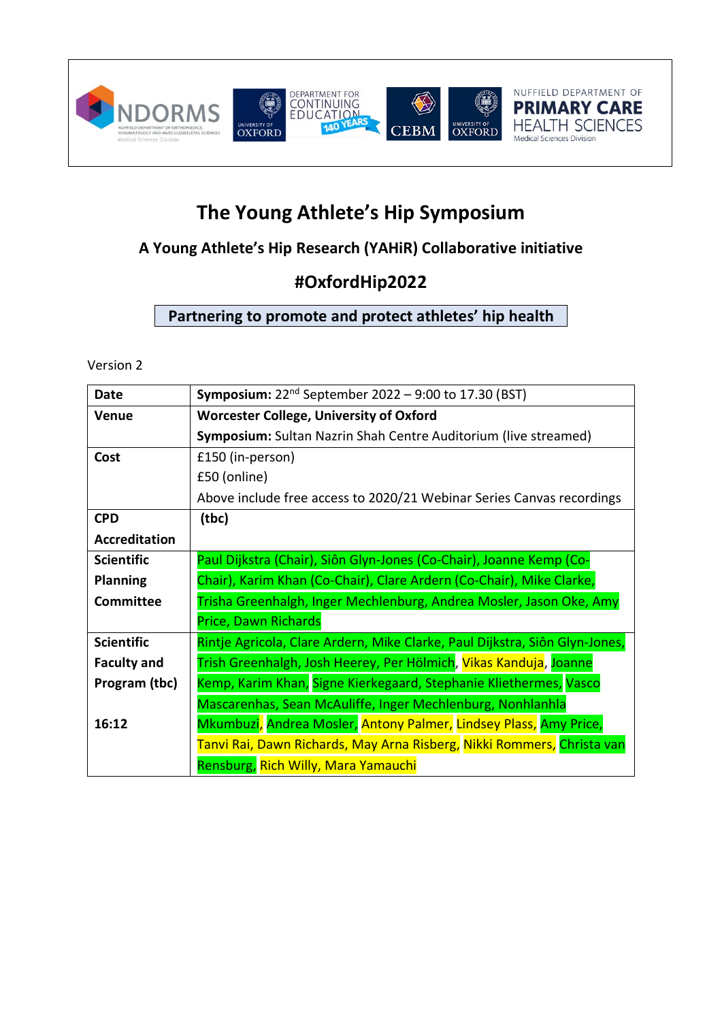

# **The Young Athlete's Hip Symposium**

## **A Young Athlete's Hip Research (YAHiR) Collaborative initiative**

## **#OxfordHip2022**

### **Partnering to promote and protect athletes' hip health**

Version 2

| <b>Date</b>          | <b>Symposium:</b> $22^{nd}$ September $2022 - 9:00$ to 17.30 (BST)          |  |  |
|----------------------|-----------------------------------------------------------------------------|--|--|
| <b>Venue</b>         | <b>Worcester College, University of Oxford</b>                              |  |  |
|                      | <b>Symposium:</b> Sultan Nazrin Shah Centre Auditorium (live streamed)      |  |  |
| Cost                 | £150 (in-person)                                                            |  |  |
|                      | £50 (online)                                                                |  |  |
|                      | Above include free access to 2020/21 Webinar Series Canvas recordings       |  |  |
| <b>CPD</b>           | (tbc)                                                                       |  |  |
| <b>Accreditation</b> |                                                                             |  |  |
| <b>Scientific</b>    | Paul Dijkstra (Chair), Siôn Glyn-Jones (Co-Chair), Joanne Kemp (Co-         |  |  |
| <b>Planning</b>      | Chair), Karim Khan (Co-Chair), Clare Ardern (Co-Chair), Mike Clarke,        |  |  |
| <b>Committee</b>     | Trisha Greenhalgh, Inger Mechlenburg, Andrea Mosler, Jason Oke, Amy         |  |  |
|                      | <b>Price, Dawn Richards</b>                                                 |  |  |
| <b>Scientific</b>    | Rintje Agricola, Clare Ardern, Mike Clarke, Paul Dijkstra, Siôn Glyn-Jones, |  |  |
| <b>Faculty and</b>   | Trish Greenhalgh, Josh Heerey, Per Hölmich, Vikas Kanduja, Joanne           |  |  |
| Program (tbc)        | Kemp, Karim Khan, Signe Kierkegaard, Stephanie Kliethermes, Vasco           |  |  |
|                      | Mascarenhas, Sean McAuliffe, Inger Mechlenburg, Nonhlanhla                  |  |  |
| 16:12                | Mkumbuzi, Andrea Mosler, Antony Palmer, Lindsey Plass, Amy Price,           |  |  |
|                      | Tanvi Rai, Dawn Richards, May Arna Risberg, Nikki Rommers, Christa van      |  |  |
|                      | Rensburg, Rich Willy, Mara Yamauchi                                         |  |  |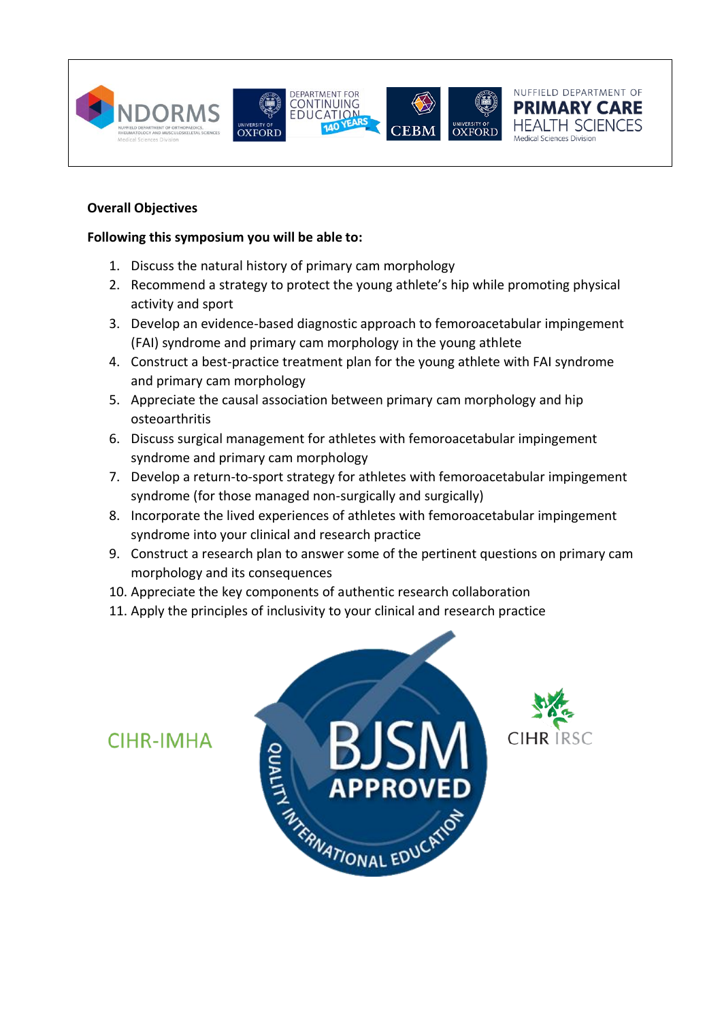

#### **Overall Objectives**

#### **Following this symposium you will be able to:**

- 1. Discuss the natural history of primary cam morphology
- 2. Recommend a strategy to protect the young athlete's hip while promoting physical activity and sport
- 3. Develop an evidence-based diagnostic approach to femoroacetabular impingement (FAI) syndrome and primary cam morphology in the young athlete
- 4. Construct a best-practice treatment plan for the young athlete with FAI syndrome and primary cam morphology
- 5. Appreciate the causal association between primary cam morphology and hip osteoarthritis
- 6. Discuss surgical management for athletes with femoroacetabular impingement syndrome and primary cam morphology
- 7. Develop a return-to-sport strategy for athletes with femoroacetabular impingement syndrome (for those managed non-surgically and surgically)
- 8. Incorporate the lived experiences of athletes with femoroacetabular impingement syndrome into your clinical and research practice
- 9. Construct a research plan to answer some of the pertinent questions on primary cam morphology and its consequences
- 10. Appreciate the key components of authentic research collaboration
- 11. Apply the principles of inclusivity to your clinical and research practice





**CIHR-IMHA**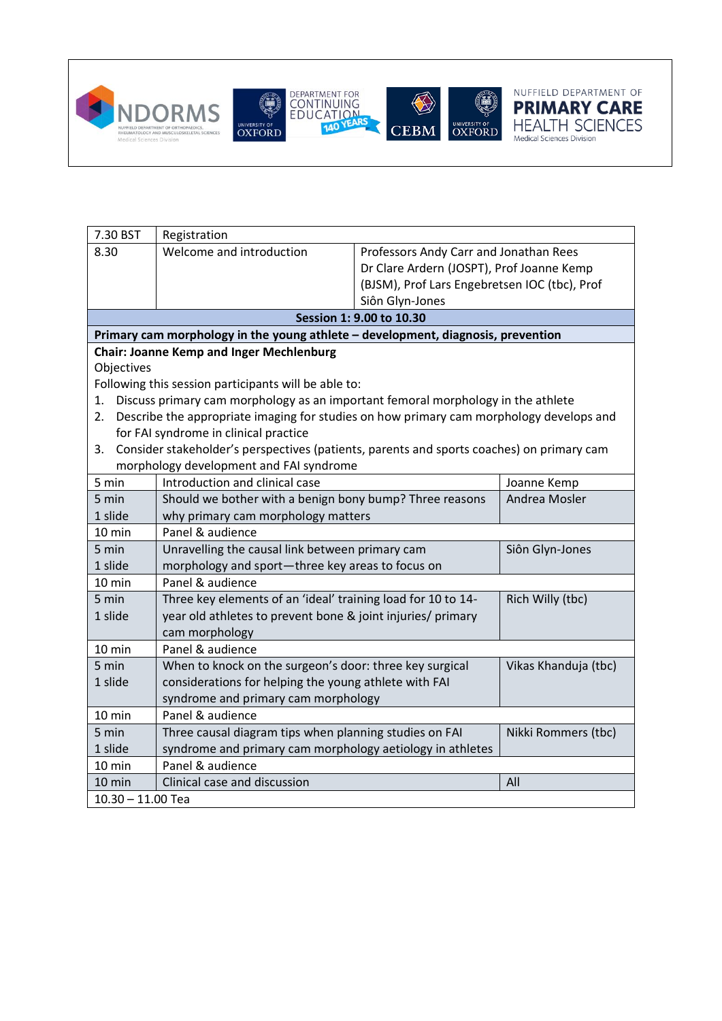

| 7.30 BST            | Registration                                                                              |                                               |                      |  |
|---------------------|-------------------------------------------------------------------------------------------|-----------------------------------------------|----------------------|--|
| 8.30                | Welcome and introduction<br>Professors Andy Carr and Jonathan Rees                        |                                               |                      |  |
|                     |                                                                                           | Dr Clare Ardern (JOSPT), Prof Joanne Kemp     |                      |  |
|                     |                                                                                           | (BJSM), Prof Lars Engebretsen IOC (tbc), Prof |                      |  |
|                     |                                                                                           | Siôn Glyn-Jones                               |                      |  |
|                     |                                                                                           | Session 1: 9.00 to 10.30                      |                      |  |
|                     | Primary cam morphology in the young athlete - development, diagnosis, prevention          |                                               |                      |  |
|                     | <b>Chair: Joanne Kemp and Inger Mechlenburg</b>                                           |                                               |                      |  |
| Objectives          |                                                                                           |                                               |                      |  |
|                     | Following this session participants will be able to:                                      |                                               |                      |  |
| 1.                  | Discuss primary cam morphology as an important femoral morphology in the athlete          |                                               |                      |  |
| 2.                  | Describe the appropriate imaging for studies on how primary cam morphology develops and   |                                               |                      |  |
|                     | for FAI syndrome in clinical practice                                                     |                                               |                      |  |
| 3.                  | Consider stakeholder's perspectives (patients, parents and sports coaches) on primary cam |                                               |                      |  |
|                     | morphology development and FAI syndrome                                                   |                                               |                      |  |
| 5 min               | Introduction and clinical case                                                            |                                               | Joanne Kemp          |  |
| 5 min               | Should we bother with a benign bony bump? Three reasons                                   |                                               | Andrea Mosler        |  |
| 1 slide             | why primary cam morphology matters                                                        |                                               |                      |  |
| 10 min              | Panel & audience                                                                          |                                               |                      |  |
| 5 min               | Unravelling the causal link between primary cam                                           |                                               | Siôn Glyn-Jones      |  |
| 1 slide             | morphology and sport-three key areas to focus on                                          |                                               |                      |  |
| 10 min              | Panel & audience                                                                          |                                               |                      |  |
| 5 min               | Three key elements of an 'ideal' training load for 10 to 14-                              |                                               | Rich Willy (tbc)     |  |
| 1 slide             | year old athletes to prevent bone & joint injuries/ primary                               |                                               |                      |  |
|                     | cam morphology                                                                            |                                               |                      |  |
| 10 min              | Panel & audience                                                                          |                                               |                      |  |
| 5 min               | When to knock on the surgeon's door: three key surgical                                   |                                               | Vikas Khanduja (tbc) |  |
| 1 slide             | considerations for helping the young athlete with FAI                                     |                                               |                      |  |
|                     | syndrome and primary cam morphology                                                       |                                               |                      |  |
| 10 min              | Panel & audience                                                                          |                                               |                      |  |
| 5 min               | Three causal diagram tips when planning studies on FAI                                    |                                               | Nikki Rommers (tbc)  |  |
| 1 slide             | syndrome and primary cam morphology aetiology in athletes                                 |                                               |                      |  |
| 10 min              | Panel & audience                                                                          |                                               |                      |  |
| 10 min              | Clinical case and discussion                                                              |                                               | All                  |  |
| $10.30 - 11.00$ Tea |                                                                                           |                                               |                      |  |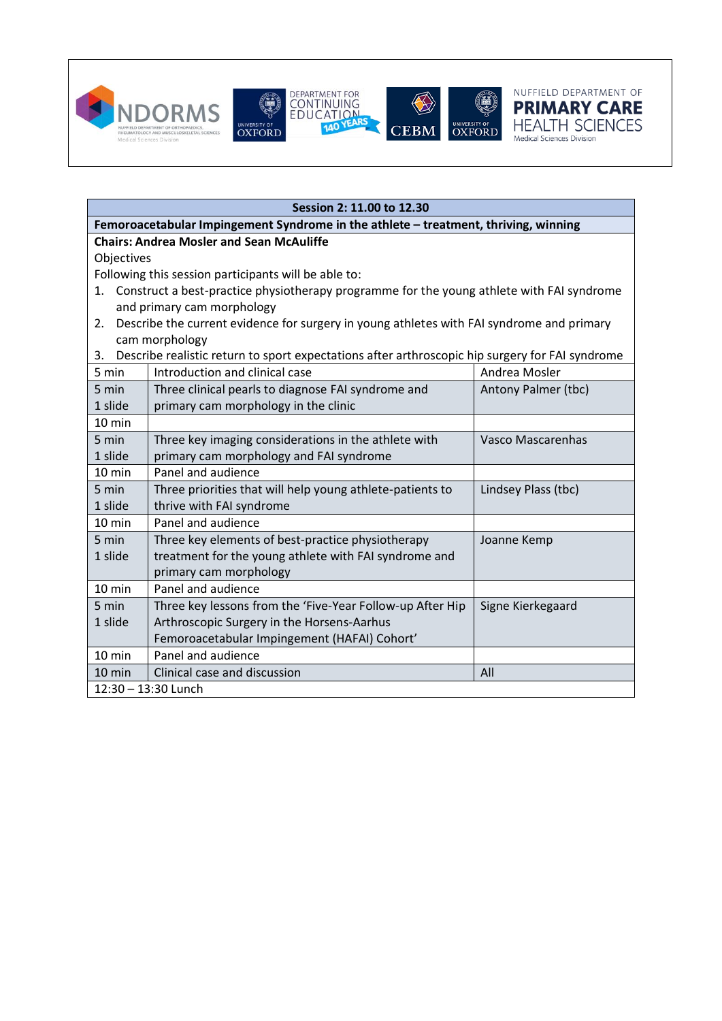

| Session 2: 11.00 to 12.30                                                                             |                                                                                           |                          |  |  |
|-------------------------------------------------------------------------------------------------------|-------------------------------------------------------------------------------------------|--------------------------|--|--|
| Femoroacetabular Impingement Syndrome in the athlete - treatment, thriving, winning                   |                                                                                           |                          |  |  |
| <b>Chairs: Andrea Mosler and Sean McAuliffe</b>                                                       |                                                                                           |                          |  |  |
|                                                                                                       | Objectives                                                                                |                          |  |  |
|                                                                                                       | Following this session participants will be able to:                                      |                          |  |  |
| 1.                                                                                                    | Construct a best-practice physiotherapy programme for the young athlete with FAI syndrome |                          |  |  |
|                                                                                                       | and primary cam morphology                                                                |                          |  |  |
| 2.                                                                                                    | Describe the current evidence for surgery in young athletes with FAI syndrome and primary |                          |  |  |
|                                                                                                       | cam morphology                                                                            |                          |  |  |
| Describe realistic return to sport expectations after arthroscopic hip surgery for FAI syndrome<br>3. |                                                                                           |                          |  |  |
| 5 min                                                                                                 | Introduction and clinical case                                                            | Andrea Mosler            |  |  |
| 5 min                                                                                                 | Three clinical pearls to diagnose FAI syndrome and                                        | Antony Palmer (tbc)      |  |  |
| 1 slide                                                                                               | primary cam morphology in the clinic                                                      |                          |  |  |
| 10 min                                                                                                |                                                                                           |                          |  |  |
| 5 min                                                                                                 | Three key imaging considerations in the athlete with                                      | <b>Vasco Mascarenhas</b> |  |  |
| 1 slide                                                                                               | primary cam morphology and FAI syndrome                                                   |                          |  |  |
| $10$ min                                                                                              | Panel and audience                                                                        |                          |  |  |
| 5 min                                                                                                 | Three priorities that will help young athlete-patients to                                 | Lindsey Plass (tbc)      |  |  |
| 1 slide                                                                                               | thrive with FAI syndrome                                                                  |                          |  |  |
| $10 \text{ min}$                                                                                      | Panel and audience                                                                        |                          |  |  |
| 5 min                                                                                                 | Three key elements of best-practice physiotherapy                                         | Joanne Kemp              |  |  |
| 1 slide                                                                                               | treatment for the young athlete with FAI syndrome and                                     |                          |  |  |
|                                                                                                       | primary cam morphology                                                                    |                          |  |  |
| $10$ min                                                                                              | Panel and audience                                                                        |                          |  |  |
| 5 min                                                                                                 | Three key lessons from the 'Five-Year Follow-up After Hip                                 | Signe Kierkegaard        |  |  |
| 1 slide                                                                                               | Arthroscopic Surgery in the Horsens-Aarhus                                                |                          |  |  |
|                                                                                                       | Femoroacetabular Impingement (HAFAI) Cohort'                                              |                          |  |  |
| 10 min                                                                                                | Panel and audience                                                                        |                          |  |  |
| 10 min                                                                                                | Clinical case and discussion                                                              | All                      |  |  |
| 12:30 - 13:30 Lunch                                                                                   |                                                                                           |                          |  |  |

NUFFIELD DEPARTMENT OF

**PRIMARY CARE** HEALTH SCIENCES<br>Medical Sciences Division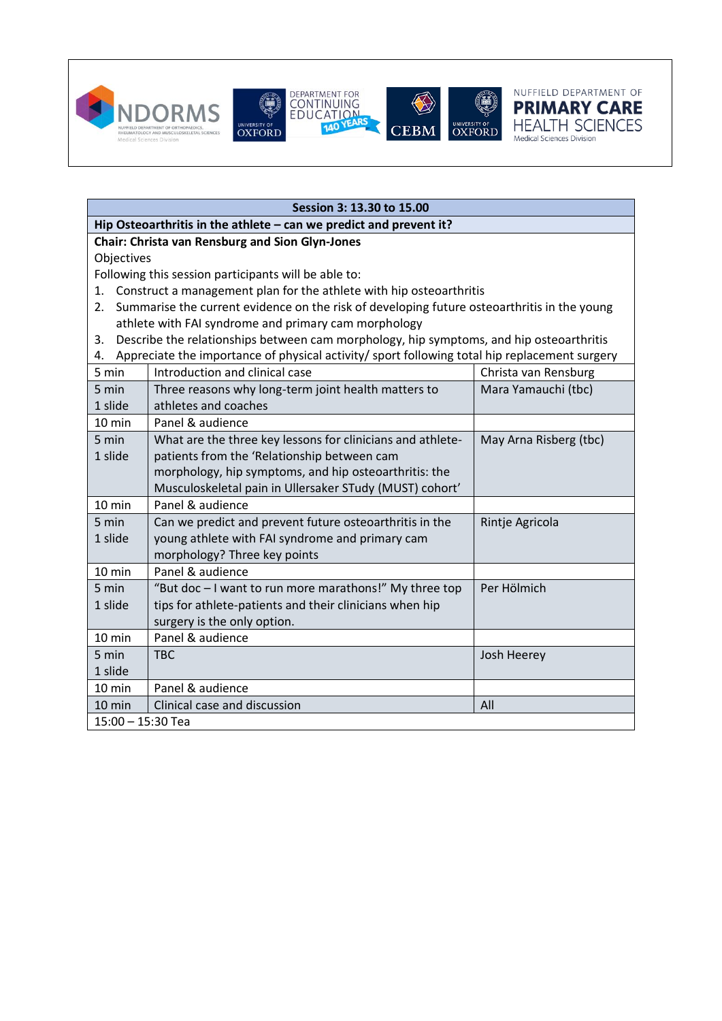

| Session 3: 13.30 to 15.00                                            |                                                                                                 |                        |  |
|----------------------------------------------------------------------|-------------------------------------------------------------------------------------------------|------------------------|--|
| Hip Osteoarthritis in the athlete $-$ can we predict and prevent it? |                                                                                                 |                        |  |
|                                                                      | <b>Chair: Christa van Rensburg and Sion Glyn-Jones</b>                                          |                        |  |
| Objectives                                                           |                                                                                                 |                        |  |
|                                                                      | Following this session participants will be able to:                                            |                        |  |
| 1.                                                                   | Construct a management plan for the athlete with hip osteoarthritis                             |                        |  |
| 2.                                                                   | Summarise the current evidence on the risk of developing future osteoarthritis in the young     |                        |  |
|                                                                      | athlete with FAI syndrome and primary cam morphology                                            |                        |  |
| 3.                                                                   | Describe the relationships between cam morphology, hip symptoms, and hip osteoarthritis         |                        |  |
|                                                                      | 4. Appreciate the importance of physical activity/sport following total hip replacement surgery |                        |  |
| 5 min                                                                | Introduction and clinical case                                                                  | Christa van Rensburg   |  |
| 5 min                                                                | Three reasons why long-term joint health matters to                                             | Mara Yamauchi (tbc)    |  |
| 1 slide                                                              | athletes and coaches                                                                            |                        |  |
| $10 \text{ min}$                                                     | Panel & audience                                                                                |                        |  |
| 5 min                                                                | What are the three key lessons for clinicians and athlete-                                      | May Arna Risberg (tbc) |  |
| 1 slide                                                              | patients from the 'Relationship between cam                                                     |                        |  |
|                                                                      | morphology, hip symptoms, and hip osteoarthritis: the                                           |                        |  |
|                                                                      | Musculoskeletal pain in Ullersaker STudy (MUST) cohort'                                         |                        |  |
| 10 min                                                               | Panel & audience                                                                                |                        |  |
| 5 min                                                                | Can we predict and prevent future osteoarthritis in the                                         | Rintje Agricola        |  |
| 1 slide                                                              | young athlete with FAI syndrome and primary cam                                                 |                        |  |
|                                                                      | morphology? Three key points                                                                    |                        |  |
| $10 \text{ min}$                                                     | Panel & audience                                                                                |                        |  |
| 5 min                                                                | "But doc - I want to run more marathons!" My three top                                          | Per Hölmich            |  |
| 1 slide                                                              | tips for athlete-patients and their clinicians when hip                                         |                        |  |
|                                                                      | surgery is the only option.                                                                     |                        |  |
| $10$ min                                                             | Panel & audience                                                                                |                        |  |
| 5 min                                                                | <b>TBC</b>                                                                                      | Josh Heerey            |  |
| 1 slide                                                              |                                                                                                 |                        |  |
| 10 min                                                               | Panel & audience                                                                                |                        |  |
| $10 \text{ min}$                                                     | Clinical case and discussion                                                                    | All                    |  |
| 15:00 - 15:30 Tea                                                    |                                                                                                 |                        |  |